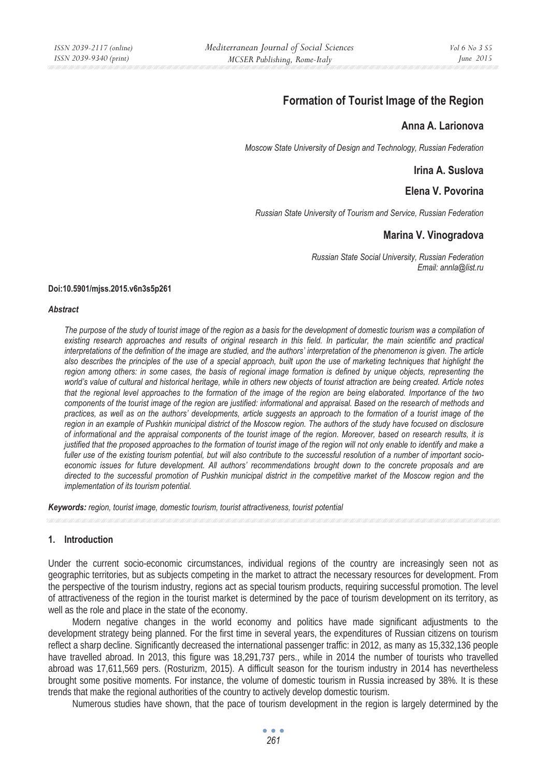# **Formation of Tourist Image of the Region**

# **Anna A. Larionova**

*Moscow State University of Design and Technology, Russian Federation* 

**Irina A. Suslova** 

## **Elena V. Povorina**

*Russian State University of Tourism and Service, Russian Federation* 

# **Marina V. Vinogradova**

*Russian State Social University, Russian Federation Email: annla@list.ru* 

#### **Doi:10.5901/mjss.2015.v6n3s5p261**

#### *Abstract*

*The purpose of the study of tourist image of the region as a basis for the development of domestic tourism was a compilation of existing research approaches and results of original research in this field. In particular, the main scientific and practical interpretations of the definition of the image are studied, and the authors' interpretation of the phenomenon is given. The article also describes the principles of the use of a special approach, built upon the use of marketing techniques that highlight the*  region among others: in some cases, the basis of regional image formation is defined by unique objects, representing the *world's value of cultural and historical heritage, while in others new objects of tourist attraction are being created. Article notes that the regional level approaches to the formation of the image of the region are being elaborated. Importance of the two components of the tourist image of the region are justified: informational and appraisal. Based on the research of methods and practices, as well as on the authors' developments, article suggests an approach to the formation of a tourist image of the region in an example of Pushkin municipal district of the Moscow region. The authors of the study have focused on disclosure of informational and the appraisal components of the tourist image of the region. Moreover, based on research results, it is justified that the proposed approaches to the formation of tourist image of the region will not only enable to identify and make a fuller use of the existing tourism potential, but will also contribute to the successful resolution of a number of important socioeconomic issues for future development. All authors' recommendations brought down to the concrete proposals and are directed to the successful promotion of Pushkin municipal district in the competitive market of the Moscow region and the implementation of its tourism potential.* 

*Keywords: region, tourist image, domestic tourism, tourist attractiveness, tourist potential* 

### **1. Introduction**

Under the current socio-economic circumstances, individual regions of the country are increasingly seen not as geographic territories, but as subjects competing in the market to attract the necessary resources for development. From the perspective of the tourism industry, regions act as special tourism products, requiring successful promotion. The level of attractiveness of the region in the tourist market is determined by the pace of tourism development on its territory, as well as the role and place in the state of the economy.

Modern negative changes in the world economy and politics have made significant adjustments to the development strategy being planned. For the first time in several years, the expenditures of Russian citizens on tourism reflect a sharp decline. Significantly decreased the international passenger traffic: in 2012, as many as 15,332,136 people have travelled abroad. In 2013, this figure was 18,291,737 pers., while in 2014 the number of tourists who travelled abroad was 17,611,569 pers. (Rosturizm, 2015). A difficult season for the tourism industry in 2014 has nevertheless brought some positive moments. For instance, the volume of domestic tourism in Russia increased by 38%. It is these trends that make the regional authorities of the country to actively develop domestic tourism.

Numerous studies have shown, that the pace of tourism development in the region is largely determined by the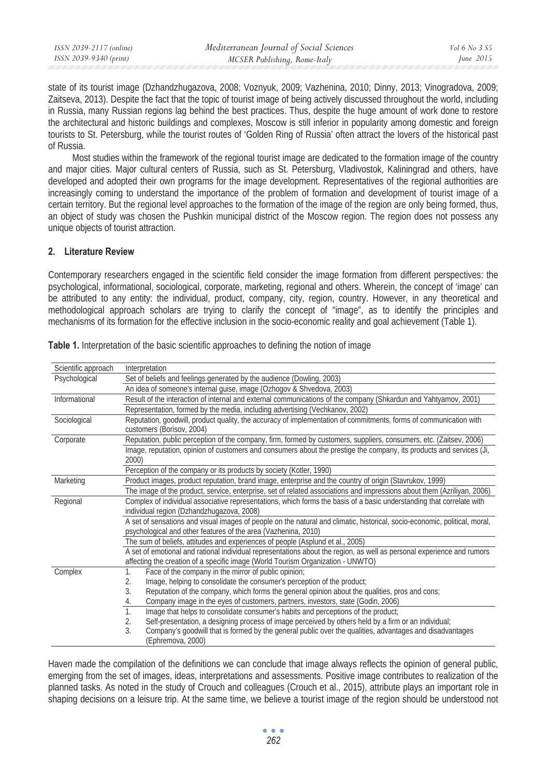| ISSN 2039-2117 (online) | Mediterranean Journal of Social Sciences | Vol 6 No 3 S5 |
|-------------------------|------------------------------------------|---------------|
| ISSN 2039-9340 (print)  | MCSER Publishing, Rome-Italy             | June $2015$   |
|                         |                                          |               |

state of its tourist image (Dzhandzhugazova, 2008; Voznyuk, 2009; Vazhenina, 2010; Dinny, 2013; Vinogradova, 2009; Zaitseva, 2013). Despite the fact that the topic of tourist image of being actively discussed throughout the world, including in Russia, many Russian regions lag behind the best practices. Thus, despite the huge amount of work done to restore the architectural and historic buildings and complexes, Moscow is still inferior in popularity among domestic and foreign tourists to St. Petersburg, while the tourist routes of 'Golden Ring of Russia' often attract the lovers of the historical past of Russia.

Most studies within the framework of the regional tourist image are dedicated to the formation image of the country and major cities. Major cultural centers of Russia, such as St. Petersburg, Vladivostok, Kaliningrad and others, have developed and adopted their own programs for the image development. Representatives of the regional authorities are increasingly coming to understand the importance of the problem of formation and development of tourist image of a certain territory. But the regional level approaches to the formation of the image of the region are only being formed, thus, an object of study was chosen the Pushkin municipal district of the Moscow region. The region does not possess any unique objects of tourist attraction.

### **2. Literature Review**

Contemporary researchers engaged in the scientific field consider the image formation from different perspectives: the psychological, informational, sociological, corporate, marketing, regional and others. Wherein, the concept of 'image' can be attributed to any entity: the individual, product, company, city, region, country. However, in any theoretical and methodological approach scholars are trying to clarify the concept of "image", as to identify the principles and mechanisms of its formation for the effective inclusion in the socio-economic reality and goal achievement (Table 1).

| Scientific approach | Interpretation                                                                                                                                 |  |  |
|---------------------|------------------------------------------------------------------------------------------------------------------------------------------------|--|--|
| Psychological       | Set of beliefs and feelings generated by the audience (Dowling, 2003)                                                                          |  |  |
|                     | An idea of someone's internal quise, image (Ozhogov & Shvedova, 2003)                                                                          |  |  |
| Informational       | Result of the interaction of internal and external communications of the company (Shkardun and Yahtyamov, 2001)                                |  |  |
|                     | Representation, formed by the media, including advertising (Vechkanov, 2002)                                                                   |  |  |
| Sociological        | Reputation, goodwill, product quality, the accuracy of implementation of commitments, forms of communication with<br>customers (Borisov, 2004) |  |  |
| Corporate           | Reputation, public perception of the company, firm, formed by customers, suppliers, consumers, etc. (Zaitsev, 2006)                            |  |  |
|                     | Image, reputation, opinion of customers and consumers about the prestige the company, its products and services (Ji,<br>2000)                  |  |  |
|                     | Perception of the company or its products by society (Kotler, 1990)                                                                            |  |  |
| Marketing           | Product images, product reputation, brand image, enterprise and the country of origin (Stavrukov, 1999)                                        |  |  |
|                     | The image of the product, service, enterprise, set of related associations and impressions about them (Azriliyan, 2006)                        |  |  |
| Regional            | Complex of individual associative representations, which forms the basis of a basic understanding that correlate with                          |  |  |
|                     | individual region (Dzhandzhugazova, 2008)                                                                                                      |  |  |
|                     | A set of sensations and visual images of people on the natural and climatic, historical, socio-economic, political, moral,                     |  |  |
|                     | psychological and other features of the area (Vazhenina, 2010)                                                                                 |  |  |
|                     | The sum of beliefs, attitudes and experiences of people (Asplund et al., 2005)                                                                 |  |  |
|                     | A set of emotional and rational individual representations about the region, as well as personal experience and rumors                         |  |  |
|                     | affecting the creation of a specific image (World Tourism Organization - UNWTO)                                                                |  |  |
| Complex             | Face of the company in the mirror of public opinion;<br>1.                                                                                     |  |  |
|                     | Image, helping to consolidate the consumer's perception of the product;<br>2.                                                                  |  |  |
|                     | 3.<br>Reputation of the company, which forms the general opinion about the qualities, pros and cons;                                           |  |  |
|                     | Company image in the eyes of customers, partners, investors, state (Godin, 2006)<br>4.                                                         |  |  |
|                     | Image that helps to consolidate consumer's habits and perceptions of the product;<br>1.                                                        |  |  |
|                     | Self-presentation, a designing process of image perceived by others held by a firm or an individual;<br>2.                                     |  |  |
|                     | 3.<br>Company's goodwill that is formed by the general public over the qualities, advantages and disadvantages                                 |  |  |
|                     | (Ephremova, 2000)                                                                                                                              |  |  |

**Table 1.** Interpretation of the basic scientific approaches to defining the notion of image

Haven made the compilation of the definitions we can conclude that image always reflects the opinion of general public, emerging from the set of images, ideas, interpretations and assessments. Positive image contributes to realization of the planned tasks. As noted in the study of Crouch and colleagues (Crouch et al., 2015), attribute plays an important role in shaping decisions on a leisure trip. At the same time, we believe a tourist image of the region should be understood not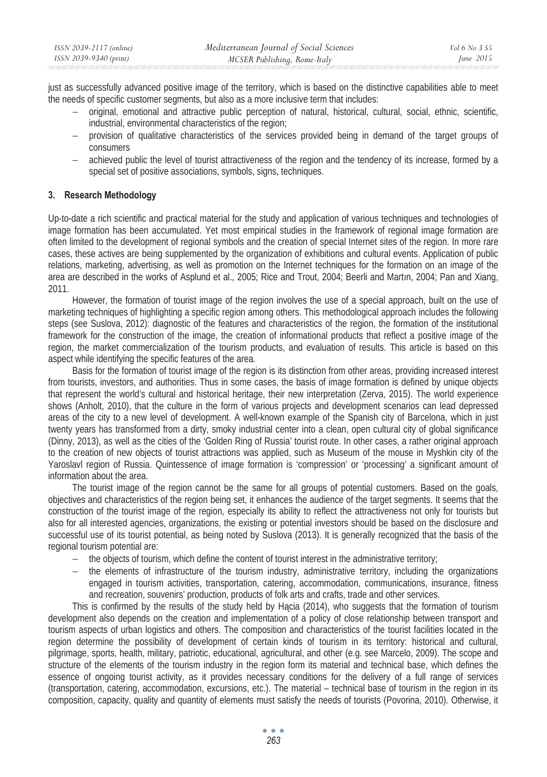just as successfully advanced positive image of the territory, which is based on the distinctive capabilities able to meet the needs of specific customer segments, but also as a more inclusive term that includes:

- − original, emotional and attractive public perception of natural, historical, cultural, social, ethnic, scientific, industrial, environmental characteristics of the region;
- − provision of qualitative characteristics of the services provided being in demand of the target groups of consumers
- − achieved public the level of tourist attractiveness of the region and the tendency of its increase, formed by a special set of positive associations, symbols, signs, techniques.

### **3. Research Methodology**

Up-to-date a rich scientific and practical material for the study and application of various techniques and technologies of image formation has been accumulated. Yet most empirical studies in the framework of regional image formation are often limited to the development of regional symbols and the creation of special Internet sites of the region. In more rare cases, these actives are being supplemented by the organization of exhibitions and cultural events. Application of public relations, marketing, advertising, as well as promotion on the Internet techniques for the formation on an image of the area are described in the works of Asplund et al., 2005; Rice and Trout, 2004; Beerli and Martin, 2004; Pan and Xiang, 2011.

However, the formation of tourist image of the region involves the use of a special approach, built on the use of marketing techniques of highlighting a specific region among others. This methodological approach includes the following steps (see Suslova, 2012): diagnostic of the features and characteristics of the region, the formation of the institutional framework for the construction of the image, the creation of informational products that reflect a positive image of the region, the market commercialization of the tourism products, and evaluation of results. This article is based on this aspect while identifying the specific features of the area.

Basis for the formation of tourist image of the region is its distinction from other areas, providing increased interest from tourists, investors, and authorities. Thus in some cases, the basis of image formation is defined by unique objects that represent the world's cultural and historical heritage, their new interpretation (Zerva, 2015). The world experience shows (Anholt, 2010), that the culture in the form of various projects and development scenarios can lead depressed areas of the city to a new level of development. A well-known example of the Spanish city of Barcelona, which in just twenty years has transformed from a dirty, smoky industrial center into a clean, open cultural city of global significance (Dinny, 2013), as well as the cities of the 'Golden Ring of Russia' tourist route. In other cases, a rather original approach to the creation of new objects of tourist attractions was applied, such as Museum of the mouse in Myshkin city of the Yaroslavl region of Russia. Quintessence of image formation is 'compression' or 'processing' a significant amount of information about the area.

The tourist image of the region cannot be the same for all groups of potential customers. Based on the goals, objectives and characteristics of the region being set, it enhances the audience of the target segments. It seems that the construction of the tourist image of the region, especially its ability to reflect the attractiveness not only for tourists but also for all interested agencies, organizations, the existing or potential investors should be based on the disclosure and successful use of its tourist potential, as being noted by Suslova (2013). It is generally recognized that the basis of the regional tourism potential are:

- − the objects of tourism, which define the content of tourist interest in the administrative territory;
- − the elements of infrastructure of the tourism industry, administrative territory, including the organizations engaged in tourism activities, transportation, catering, accommodation, communications, insurance, fitness and recreation, souvenirs' production, products of folk arts and crafts, trade and other services.

This is confirmed by the results of the study held by Hącia (2014), who suggests that the formation of tourism development also depends on the creation and implementation of a policy of close relationship between transport and tourism aspects of urban logistics and others. The composition and characteristics of the tourist facilities located in the region determine the possibility of development of certain kinds of tourism in its territory: historical and cultural, pilgrimage, sports, health, military, patriotic, educational, agricultural, and other (e.g. see Marcelo, 2009). The scope and structure of the elements of the tourism industry in the region form its material and technical base, which defines the essence of ongoing tourist activity, as it provides necessary conditions for the delivery of a full range of services (transportation, catering, accommodation, excursions, etc.). The material – technical base of tourism in the region in its composition, capacity, quality and quantity of elements must satisfy the needs of tourists (Povorina, 2010). Otherwise, it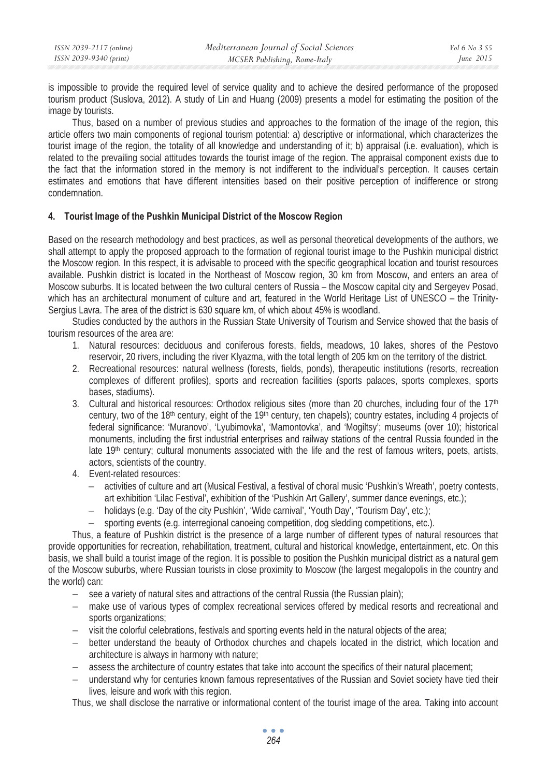is impossible to provide the required level of service quality and to achieve the desired performance of the proposed tourism product (Suslova, 2012). A study of Lin and Huang (2009) presents a model for estimating the position of the image by tourists.

Thus, based on a number of previous studies and approaches to the formation of the image of the region, this article offers two main components of regional tourism potential: a) descriptive or informational, which characterizes the tourist image of the region, the totality of all knowledge and understanding of it; b) appraisal (i.e. evaluation), which is related to the prevailing social attitudes towards the tourist image of the region. The appraisal component exists due to the fact that the information stored in the memory is not indifferent to the individual's perception. It causes certain estimates and emotions that have different intensities based on their positive perception of indifference or strong condemnation.

### **4. Tourist Image of the Pushkin Municipal District of the Moscow Region**

Based on the research methodology and best practices, as well as personal theoretical developments of the authors, we shall attempt to apply the proposed approach to the formation of regional tourist image to the Pushkin municipal district the Moscow region. In this respect, it is advisable to proceed with the specific geographical location and tourist resources available. Pushkin district is located in the Northeast of Moscow region, 30 km from Moscow, and enters an area of Moscow suburbs. It is located between the two cultural centers of Russia – the Moscow capital city and Sergeyev Posad, which has an architectural monument of culture and art, featured in the World Heritage List of UNESCO – the Trinity-Sergius Lavra. The area of the district is 630 square km, of which about 45% is woodland.

Studies conducted by the authors in the Russian State University of Tourism and Service showed that the basis of tourism resources of the area are:

- 1. Natural resources: deciduous and coniferous forests, fields, meadows, 10 lakes, shores of the Pestovo reservoir, 20 rivers, including the river Klyazma, with the total length of 205 km on the territory of the district.
- 2. Recreational resources: natural wellness (forests, fields, ponds), therapeutic institutions (resorts, recreation complexes of different profiles), sports and recreation facilities (sports palaces, sports complexes, sports bases, stadiums).
- 3. Cultural and historical resources: Orthodox religious sites (more than 20 churches, including four of the  $17<sup>th</sup>$ century, two of the 18<sup>th</sup> century, eight of the 19<sup>th</sup> century, ten chapels); country estates, including 4 projects of federal significance: 'Muranovo', 'Lyubimovka', 'Mamontovka', and 'Mogiltsy'; museums (over 10); historical monuments, including the first industrial enterprises and railway stations of the central Russia founded in the late 19<sup>th</sup> century; cultural monuments associated with the life and the rest of famous writers, poets, artists, actors, scientists of the country.
- 4. Event-related resources:
	- − activities of culture and art (Musical Festival, a festival of choral music 'Pushkin's Wreath', poetry contests, art exhibition 'Lilac Festival', exhibition of the 'Pushkin Art Gallery', summer dance evenings, etc.);
	- − holidays (e.g. 'Day of the city Pushkin', 'Wide carnival', 'Youth Day', 'Tourism Day', etc.);
	- − sporting events (e.g. interregional canoeing competition, dog sledding competitions, etc.).

Thus, a feature of Pushkin district is the presence of a large number of different types of natural resources that provide opportunities for recreation, rehabilitation, treatment, cultural and historical knowledge, entertainment, etc. On this basis, we shall build a tourist image of the region. It is possible to position the Pushkin municipal district as a natural gem of the Moscow suburbs, where Russian tourists in close proximity to Moscow (the largest megalopolis in the country and the world) can:

- − see a variety of natural sites and attractions of the central Russia (the Russian plain);
- − make use of various types of complex recreational services offered by medical resorts and recreational and sports organizations;
- − visit the colorful celebrations, festivals and sporting events held in the natural objects of the area;
- − better understand the beauty of Orthodox churches and chapels located in the district, which location and architecture is always in harmony with nature;
- − assess the architecture of country estates that take into account the specifics of their natural placement;
- − understand why for centuries known famous representatives of the Russian and Soviet society have tied their lives, leisure and work with this region.

Thus, we shall disclose the narrative or informational content of the tourist image of the area. Taking into account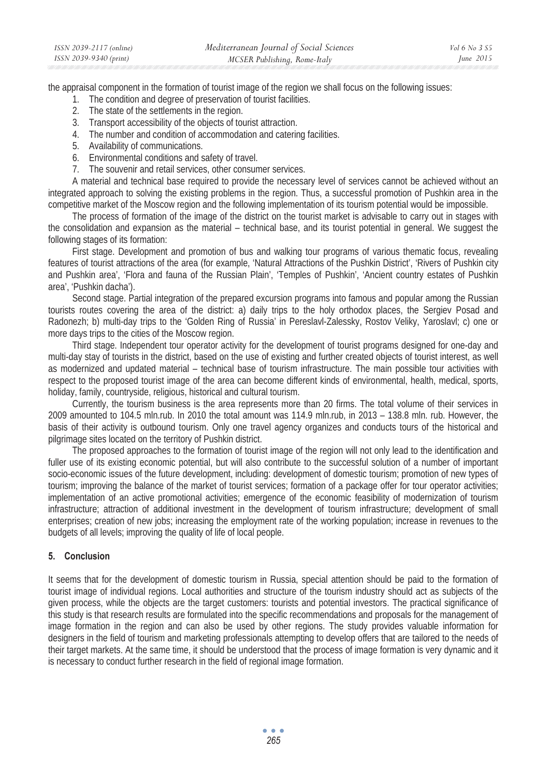| ISSN 2039-2117 (online) | Mediterranean Journal of Social Sciences | <i>Vol</i> 6 No 3 S5 |
|-------------------------|------------------------------------------|----------------------|
| ISSN 2039-9340 (print)  | MCSER Publishing, Rome-Italy             | June $2015$          |

the appraisal component in the formation of tourist image of the region we shall focus on the following issues:

- 1. The condition and degree of preservation of tourist facilities.
- 2. The state of the settlements in the region.
- 3. Transport accessibility of the objects of tourist attraction.
- 4. The number and condition of accommodation and catering facilities.
- 5. Availability of communications.
- 6. Environmental conditions and safety of travel.
- 7. The souvenir and retail services, other consumer services.

A material and technical base required to provide the necessary level of services cannot be achieved without an integrated approach to solving the existing problems in the region. Thus, a successful promotion of Pushkin area in the competitive market of the Moscow region and the following implementation of its tourism potential would be impossible.

The process of formation of the image of the district on the tourist market is advisable to carry out in stages with the consolidation and expansion as the material – technical base, and its tourist potential in general. We suggest the following stages of its formation:

First stage. Development and promotion of bus and walking tour programs of various thematic focus, revealing features of tourist attractions of the area (for example, 'Natural Attractions of the Pushkin District', 'Rivers of Pushkin city and Pushkin area', 'Flora and fauna of the Russian Plain', 'Temples of Pushkin', 'Ancient country estates of Pushkin area', 'Pushkin dacha').

Second stage. Partial integration of the prepared excursion programs into famous and popular among the Russian tourists routes covering the area of the district: a) daily trips to the holy orthodox places, the Sergiev Posad and Radonezh; b) multi-day trips to the 'Golden Ring of Russia' in Pereslavl-Zalessky, Rostov Veliky, Yaroslavl; c) one or more days trips to the cities of the Moscow region.

Third stage. Independent tour operator activity for the development of tourist programs designed for one-day and multi-day stay of tourists in the district, based on the use of existing and further created objects of tourist interest, as well as modernized and updated material – technical base of tourism infrastructure. The main possible tour activities with respect to the proposed tourist image of the area can become different kinds of environmental, health, medical, sports, holiday, family, countryside, religious, historical and cultural tourism.

Currently, the tourism business is the area represents more than 20 firms. The total volume of their services in 2009 amounted to 104.5 mln.rub. In 2010 the total amount was 114.9 mln.rub, in 2013 – 138.8 mln. rub. However, the basis of their activity is outbound tourism. Only one travel agency organizes and conducts tours of the historical and pilgrimage sites located on the territory of Pushkin district.

The proposed approaches to the formation of tourist image of the region will not only lead to the identification and fuller use of its existing economic potential, but will also contribute to the successful solution of a number of important socio-economic issues of the future development, including: development of domestic tourism; promotion of new types of tourism; improving the balance of the market of tourist services; formation of a package offer for tour operator activities; implementation of an active promotional activities; emergence of the economic feasibility of modernization of tourism infrastructure; attraction of additional investment in the development of tourism infrastructure; development of small enterprises; creation of new jobs; increasing the employment rate of the working population; increase in revenues to the budgets of all levels; improving the quality of life of local people.

### **5. Conclusion**

It seems that for the development of domestic tourism in Russia, special attention should be paid to the formation of tourist image of individual regions. Local authorities and structure of the tourism industry should act as subjects of the given process, while the objects are the target customers: tourists and potential investors. The practical significance of this study is that research results are formulated into the specific recommendations and proposals for the management of image formation in the region and can also be used by other regions. The study provides valuable information for designers in the field of tourism and marketing professionals attempting to develop offers that are tailored to the needs of their target markets. At the same time, it should be understood that the process of image formation is very dynamic and it is necessary to conduct further research in the field of regional image formation.